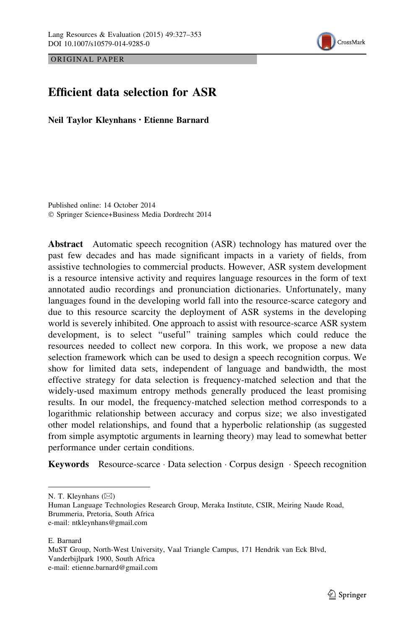ORIGINAL PAPER



# Efficient data selection for ASR

Neil Taylor Kleynhans • Etienne Barnard

Published online: 14 October 2014 - Springer Science+Business Media Dordrecht 2014

Abstract Automatic speech recognition (ASR) technology has matured over the past few decades and has made significant impacts in a variety of fields, from assistive technologies to commercial products. However, ASR system development is a resource intensive activity and requires language resources in the form of text annotated audio recordings and pronunciation dictionaries. Unfortunately, many languages found in the developing world fall into the resource-scarce category and due to this resource scarcity the deployment of ASR systems in the developing world is severely inhibited. One approach to assist with resource-scarce ASR system development, is to select ''useful'' training samples which could reduce the resources needed to collect new corpora. In this work, we propose a new data selection framework which can be used to design a speech recognition corpus. We show for limited data sets, independent of language and bandwidth, the most effective strategy for data selection is frequency-matched selection and that the widely-used maximum entropy methods generally produced the least promising results. In our model, the frequency-matched selection method corresponds to a logarithmic relationship between accuracy and corpus size; we also investigated other model relationships, and found that a hyperbolic relationship (as suggested from simple asymptotic arguments in learning theory) may lead to somewhat better performance under certain conditions.

Keywords Resource-scarce · Data selection · Corpus design · Speech recognition

N. T. Kleynhans  $(\boxtimes)$ 

Human Language Technologies Research Group, Meraka Institute, CSIR, Meiring Naude Road, Brummeria, Pretoria, South Africa e-mail: ntkleynhans@gmail.com

E. Barnard

MuST Group, North-West University, Vaal Triangle Campus, 171 Hendrik van Eck Blvd, Vanderbijlpark 1900, South Africa e-mail: etienne.barnard@gmail.com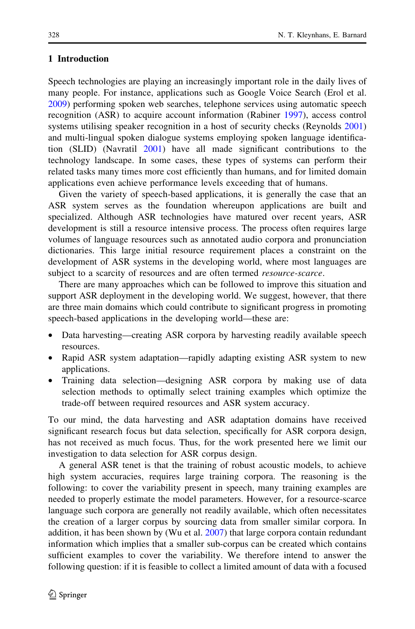## 1 Introduction

Speech technologies are playing an increasingly important role in the daily lives of many people. For instance, applications such as Google Voice Search (Erol et al. [2009\)](#page-25-0) performing spoken web searches, telephone services using automatic speech recognition (ASR) to acquire account information (Rabiner [1997\)](#page-26-0), access control systems utilising speaker recognition in a host of security checks (Reynolds [2001](#page-26-0)) and multi-lingual spoken dialogue systems employing spoken language identification (SLID) (Navratil [2001](#page-26-0)) have all made significant contributions to the technology landscape. In some cases, these types of systems can perform their related tasks many times more cost efficiently than humans, and for limited domain applications even achieve performance levels exceeding that of humans.

Given the variety of speech-based applications, it is generally the case that an ASR system serves as the foundation whereupon applications are built and specialized. Although ASR technologies have matured over recent years, ASR development is still a resource intensive process. The process often requires large volumes of language resources such as annotated audio corpora and pronunciation dictionaries. This large initial resource requirement places a constraint on the development of ASR systems in the developing world, where most languages are subject to a scarcity of resources and are often termed *resource-scarce*.

There are many approaches which can be followed to improve this situation and support ASR deployment in the developing world. We suggest, however, that there are three main domains which could contribute to significant progress in promoting speech-based applications in the developing world—these are:

- Data harvesting—creating ASR corpora by harvesting readily available speech resources.
- Rapid ASR system adaptation—rapidly adapting existing ASR system to new applications.
- Training data selection—designing ASR corpora by making use of data selection methods to optimally select training examples which optimize the trade-off between required resources and ASR system accuracy.

To our mind, the data harvesting and ASR adaptation domains have received significant research focus but data selection, specifically for ASR corpora design, has not received as much focus. Thus, for the work presented here we limit our investigation to data selection for ASR corpus design.

A general ASR tenet is that the training of robust acoustic models, to achieve high system accuracies, requires large training corpora. The reasoning is the following: to cover the variability present in speech, many training examples are needed to properly estimate the model parameters. However, for a resource-scarce language such corpora are generally not readily available, which often necessitates the creation of a larger corpus by sourcing data from smaller similar corpora. In addition, it has been shown by (Wu et al. [2007](#page-26-0)) that large corpora contain redundant information which implies that a smaller sub-corpus can be created which contains sufficient examples to cover the variability. We therefore intend to answer the following question: if it is feasible to collect a limited amount of data with a focused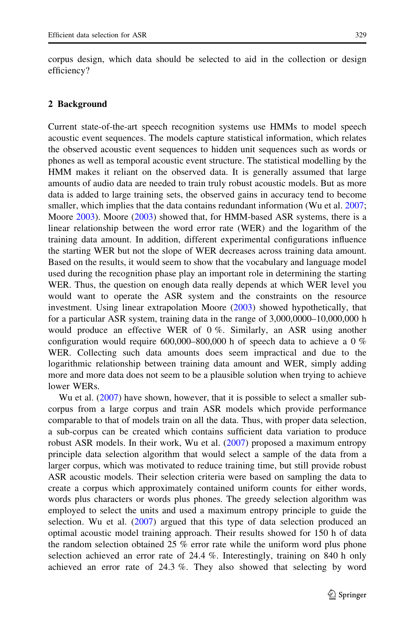corpus design, which data should be selected to aid in the collection or design efficiency?

### 2 Background

Current state-of-the-art speech recognition systems use HMMs to model speech acoustic event sequences. The models capture statistical information, which relates the observed acoustic event sequences to hidden unit sequences such as words or phones as well as temporal acoustic event structure. The statistical modelling by the HMM makes it reliant on the observed data. It is generally assumed that large amounts of audio data are needed to train truly robust acoustic models. But as more data is added to large training sets, the observed gains in accuracy tend to become smaller, which implies that the data contains redundant information (Wu et al. [2007;](#page-26-0) Moore [2003\)](#page-26-0). Moore [\(2003](#page-26-0)) showed that, for HMM-based ASR systems, there is a linear relationship between the word error rate (WER) and the logarithm of the training data amount. In addition, different experimental configurations influence the starting WER but not the slope of WER decreases across training data amount. Based on the results, it would seem to show that the vocabulary and language model used during the recognition phase play an important role in determining the starting WER. Thus, the question on enough data really depends at which WER level you would want to operate the ASR system and the constraints on the resource investment. Using linear extrapolation Moore [\(2003](#page-26-0)) showed hypothetically, that for a particular ASR system, training data in the range of 3,000,0000–10,000,000 h would produce an effective WER of 0 %. Similarly, an ASR using another configuration would require  $600,000-800,000$  h of speech data to achieve a 0 % WER. Collecting such data amounts does seem impractical and due to the logarithmic relationship between training data amount and WER, simply adding more and more data does not seem to be a plausible solution when trying to achieve lower WERs.

Wu et al. ([2007](#page-26-0)) have shown, however, that it is possible to select a smaller subcorpus from a large corpus and train ASR models which provide performance comparable to that of models train on all the data. Thus, with proper data selection, a sub-corpus can be created which contains sufficient data variation to produce robust ASR models. In their work, Wu et al. ([2007\)](#page-26-0) proposed a maximum entropy principle data selection algorithm that would select a sample of the data from a larger corpus, which was motivated to reduce training time, but still provide robust ASR acoustic models. Their selection criteria were based on sampling the data to create a corpus which approximately contained uniform counts for either words, words plus characters or words plus phones. The greedy selection algorithm was employed to select the units and used a maximum entropy principle to guide the selection. Wu et al. [\(2007](#page-26-0)) argued that this type of data selection produced an optimal acoustic model training approach. Their results showed for 150 h of data the random selection obtained 25 % error rate while the uniform word plus phone selection achieved an error rate of 24.4 %. Interestingly, training on 840 h only achieved an error rate of 24.3 %. They also showed that selecting by word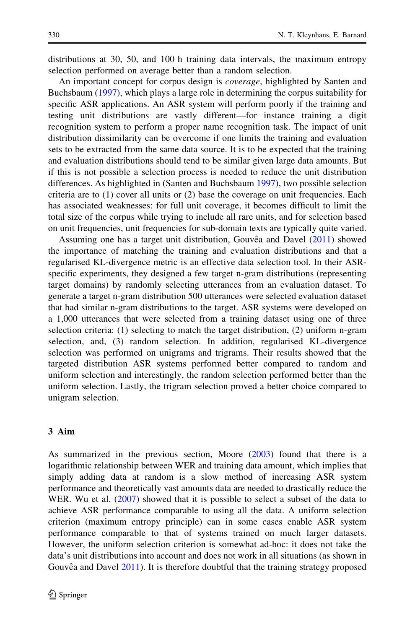distributions at 30, 50, and 100 h training data intervals, the maximum entropy selection performed on average better than a random selection.

An important concept for corpus design is coverage, highlighted by Santen and Buchsbaum ([1997\)](#page-26-0), which plays a large role in determining the corpus suitability for specific ASR applications. An ASR system will perform poorly if the training and testing unit distributions are vastly different—for instance training a digit recognition system to perform a proper name recognition task. The impact of unit distribution dissimilarity can be overcome if one limits the training and evaluation sets to be extracted from the same data source. It is to be expected that the training and evaluation distributions should tend to be similar given large data amounts. But if this is not possible a selection process is needed to reduce the unit distribution differences. As highlighted in (Santen and Buchsbaum [1997\)](#page-26-0), two possible selection criteria are to (1) cover all units or (2) base the coverage on unit frequencies. Each has associated weaknesses: for full unit coverage, it becomes difficult to limit the total size of the corpus while trying to include all rare units, and for selection based on unit frequencies, unit frequencies for sub-domain texts are typically quite varied.

Assuming one has a target unit distribution, Gouvêa and Davel  $(2011)$  showed the importance of matching the training and evaluation distributions and that a regularised KL-divergence metric is an effective data selection tool. In their ASRspecific experiments, they designed a few target n-gram distributions (representing target domains) by randomly selecting utterances from an evaluation dataset. To generate a target n-gram distribution 500 utterances were selected evaluation dataset that had similar n-gram distributions to the target. ASR systems were developed on a 1,000 utterances that were selected from a training dataset using one of three selection criteria: (1) selecting to match the target distribution, (2) uniform n-gram selection, and, (3) random selection. In addition, regularised KL-divergence selection was performed on unigrams and trigrams. Their results showed that the targeted distribution ASR systems performed better compared to random and uniform selection and interestingly, the random selection performed better than the uniform selection. Lastly, the trigram selection proved a better choice compared to unigram selection.

### 3 Aim

As summarized in the previous section, Moore ([2003\)](#page-26-0) found that there is a logarithmic relationship between WER and training data amount, which implies that simply adding data at random is a slow method of increasing ASR system performance and theoretically vast amounts data are needed to drastically reduce the WER. Wu et al. [\(2007](#page-26-0)) showed that it is possible to select a subset of the data to achieve ASR performance comparable to using all the data. A uniform selection criterion (maximum entropy principle) can in some cases enable ASR system performance comparable to that of systems trained on much larger datasets. However, the uniform selection criterion is somewhat ad-hoc: it does not take the data's unit distributions into account and does not work in all situations (as shown in Gouvêa and Davel [2011\)](#page-25-0). It is therefore doubtful that the training strategy proposed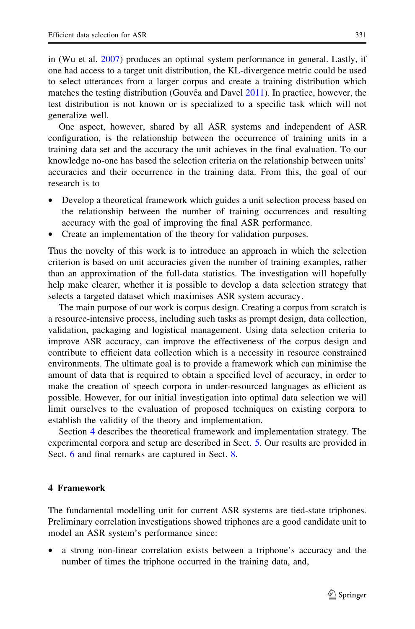<span id="page-4-0"></span>in (Wu et al. [2007\)](#page-26-0) produces an optimal system performance in general. Lastly, if one had access to a target unit distribution, the KL-divergence metric could be used to select utterances from a larger corpus and create a training distribution which matches the testing distribution (Gouvêa and Davel  $2011$ ). In practice, however, the test distribution is not known or is specialized to a specific task which will not generalize well.

One aspect, however, shared by all ASR systems and independent of ASR configuration, is the relationship between the occurrence of training units in a training data set and the accuracy the unit achieves in the final evaluation. To our knowledge no-one has based the selection criteria on the relationship between units' accuracies and their occurrence in the training data. From this, the goal of our research is to

- Develop a theoretical framework which guides a unit selection process based on the relationship between the number of training occurrences and resulting accuracy with the goal of improving the final ASR performance.
- Create an implementation of the theory for validation purposes.

Thus the novelty of this work is to introduce an approach in which the selection criterion is based on unit accuracies given the number of training examples, rather than an approximation of the full-data statistics. The investigation will hopefully help make clearer, whether it is possible to develop a data selection strategy that selects a targeted dataset which maximises ASR system accuracy.

The main purpose of our work is corpus design. Creating a corpus from scratch is a resource-intensive process, including such tasks as prompt design, data collection, validation, packaging and logistical management. Using data selection criteria to improve ASR accuracy, can improve the effectiveness of the corpus design and contribute to efficient data collection which is a necessity in resource constrained environments. The ultimate goal is to provide a framework which can minimise the amount of data that is required to obtain a specified level of accuracy, in order to make the creation of speech corpora in under-resourced languages as efficient as possible. However, for our initial investigation into optimal data selection we will limit ourselves to the evaluation of proposed techniques on existing corpora to establish the validity of the theory and implementation.

Section 4 describes the theoretical framework and implementation strategy. The experimental corpora and setup are described in Sect. [5](#page-11-0). Our results are provided in Sect. [6](#page-16-0) and final remarks are captured in Sect. 8.

### 4 Framework

The fundamental modelling unit for current ASR systems are tied-state triphones. Preliminary correlation investigations showed triphones are a good candidate unit to model an ASR system's performance since:

• a strong non-linear correlation exists between a triphone's accuracy and the number of times the triphone occurred in the training data, and,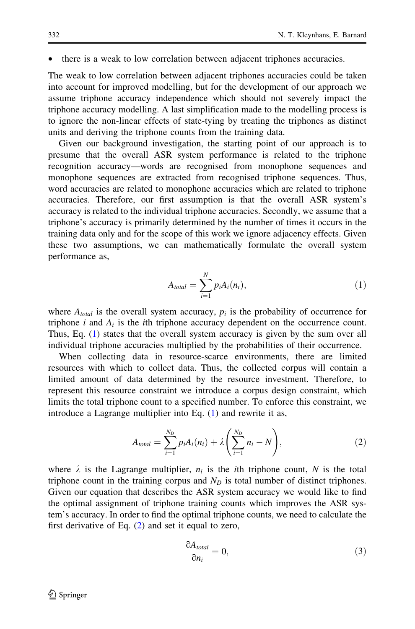### • there is a weak to low correlation between adjacent triphones accuracies.

The weak to low correlation between adjacent triphones accuracies could be taken into account for improved modelling, but for the development of our approach we assume triphone accuracy independence which should not severely impact the triphone accuracy modelling. A last simplification made to the modelling process is to ignore the non-linear effects of state-tying by treating the triphones as distinct units and deriving the triphone counts from the training data.

Given our background investigation, the starting point of our approach is to presume that the overall ASR system performance is related to the triphone recognition accuracy—words are recognised from monophone sequences and monophone sequences are extracted from recognised triphone sequences. Thus, word accuracies are related to monophone accuracies which are related to triphone accuracies. Therefore, our first assumption is that the overall ASR system's accuracy is related to the individual triphone accuracies. Secondly, we assume that a triphone's accuracy is primarily determined by the number of times it occurs in the training data only and for the scope of this work we ignore adjacency effects. Given these two assumptions, we can mathematically formulate the overall system performance as,

$$
A_{total} = \sum_{i=1}^{N} p_i A_i(n_i), \qquad (1)
$$

where  $A_{total}$  is the overall system accuracy,  $p_i$  is the probability of occurrence for triphone  $i$  and  $A_i$  is the *i*th triphone accuracy dependent on the occurrence count. Thus, Eq. (1) states that the overall system accuracy is given by the sum over all individual triphone accuracies multiplied by the probabilities of their occurrence.

When collecting data in resource-scarce environments, there are limited resources with which to collect data. Thus, the collected corpus will contain a limited amount of data determined by the resource investment. Therefore, to represent this resource constraint we introduce a corpus design constraint, which limits the total triphone count to a specified number. To enforce this constraint, we introduce a Lagrange multiplier into Eq. (1) and rewrite it as,

$$
A_{total} = \sum_{i=1}^{N_D} p_i A_i(n_i) + \lambda \left( \sum_{i=1}^{N_D} n_i - N \right),
$$
 (2)

where  $\lambda$  is the Lagrange multiplier,  $n_i$  is the *i*th triphone count, N is the total triphone count in the training corpus and  $N_D$  is total number of distinct triphones. Given our equation that describes the ASR system accuracy we would like to find the optimal assignment of triphone training counts which improves the ASR system's accuracy. In order to find the optimal triphone counts, we need to calculate the first derivative of Eq. (2) and set it equal to zero,

$$
\frac{\partial A_{total}}{\partial n_i} = 0,\tag{3}
$$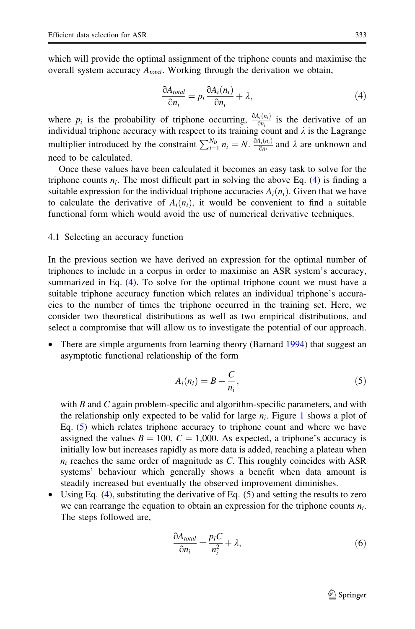<span id="page-6-0"></span>which will provide the optimal assignment of the triphone counts and maximise the overall system accuracy  $A_{total}$ . Working through the derivation we obtain,

$$
\frac{\partial A_{total}}{\partial n_i} = p_i \frac{\partial A_i(n_i)}{\partial n_i} + \lambda,\tag{4}
$$

where  $p_i$  is the probability of triphone occurring,  $\frac{\partial A_i(n_i)}{\partial n_i}$  is the derivative of an individual triphone accuracy with respect to its training count and  $\lambda$  is the Lagrange multiplier introduced by the constraint  $\sum_{i=1}^{N_D} n_i = N$ .  $\frac{\partial A_i(n_i)}{\partial n_i}$  and  $\lambda$  are unknown and need to be calculated.

Once these values have been calculated it becomes an easy task to solve for the triphone counts  $n_i$ . The most difficult part in solving the above Eq. (4) is finding a suitable expression for the individual triphone accuracies  $A_i(n_i)$ . Given that we have to calculate the derivative of  $A_i(n_i)$ , it would be convenient to find a suitable functional form which would avoid the use of numerical derivative techniques.

### 4.1 Selecting an accuracy function

In the previous section we have derived an expression for the optimal number of triphones to include in a corpus in order to maximise an ASR system's accuracy, summarized in Eq. (4). To solve for the optimal triphone count we must have a suitable triphone accuracy function which relates an individual triphone's accuracies to the number of times the triphone occurred in the training set. Here, we consider two theoretical distributions as well as two empirical distributions, and select a compromise that will allow us to investigate the potential of our approach.

• There are simple arguments from learning theory (Barnard [1994\)](#page-25-0) that suggest an asymptotic functional relationship of the form

$$
A_i(n_i) = B - \frac{C}{n_i},\tag{5}
$$

with B and C again problem-specific and algorithm-specific parameters, and with the relationship only expected to be valid for large  $n_i$ . Figure [1](#page-7-0) shows a plot of Eq. (5) which relates triphone accuracy to triphone count and where we have assigned the values  $B = 100$ ,  $C = 1,000$ . As expected, a triphone's accuracy is initially low but increases rapidly as more data is added, reaching a plateau when  $n_i$  reaches the same order of magnitude as C. This roughly coincides with ASR systems' behaviour which generally shows a benefit when data amount is steadily increased but eventually the observed improvement diminishes.

• Using Eq.  $(4)$ , substituting the derivative of Eq.  $(5)$  and setting the results to zero we can rearrange the equation to obtain an expression for the triphone counts  $n_i$ . The steps followed are,

$$
\frac{\partial A_{total}}{\partial n_i} = \frac{p_i C}{n_i^2} + \lambda,\tag{6}
$$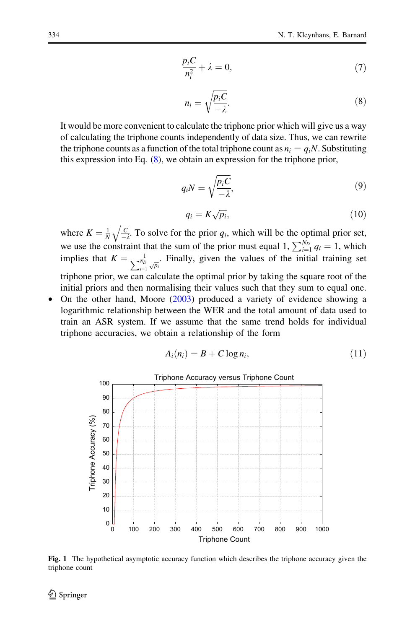$$
\frac{p_i C}{n_i^2} + \lambda = 0,\t\t(7)
$$

$$
n_i = \sqrt{\frac{p_i C}{-\lambda}}.\tag{8}
$$

<span id="page-7-0"></span>It would be more convenient to calculate the triphone prior which will give us a way of calculating the triphone counts independently of data size. Thus, we can rewrite the triphone counts as a function of the total triphone count as  $n_i = q_iN$ . Substituting this expression into Eq. (8), we obtain an expression for the triphone prior,

$$
q_i N = \sqrt{\frac{p_i C}{\lambda}},\tag{9}
$$

$$
q_i = K \sqrt{p_i},\tag{10}
$$

where  $K = \frac{1}{N}$  $\frac{C}{\lambda}$  $\overline{a}$ . To solve for the prior  $q_i$ , which will be the optimal prior set, we use the constraint that the sum of the prior must equal 1,  $\sum_{i=1}^{N_D} q_i = 1$ , which implies that  $K = \frac{1}{\sum_{i=1}^{N_D} \sqrt{p_i}}$ . Finally, given the values of the initial training set triphone prior, we can calculate the optimal prior by taking the square root of the initial priors and then normalising their values such that they sum to equal one.

• On the other hand, Moore ([2003\)](#page-26-0) produced a variety of evidence showing a logarithmic relationship between the WER and the total amount of data used to train an ASR system. If we assume that the same trend holds for individual triphone accuracies, we obtain a relationship of the form

$$
A_i(n_i) = B + C \log n_i, \qquad (11)
$$



Fig. 1 The hypothetical asymptotic accuracy function which describes the triphone accuracy given the triphone count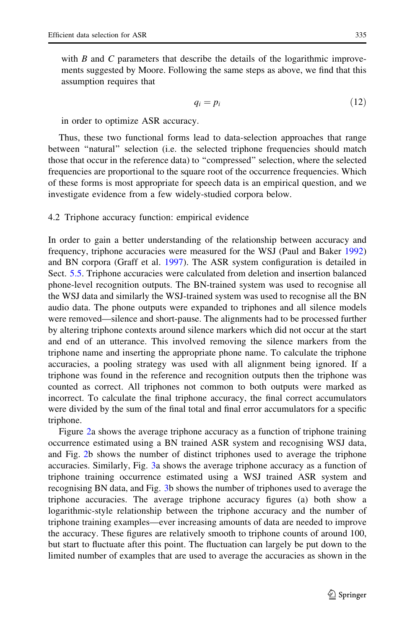with  $B$  and  $C$  parameters that describe the details of the logarithmic improvements suggested by Moore. Following the same steps as above, we find that this assumption requires that

$$
q_i = p_i \tag{12}
$$

in order to optimize ASR accuracy.

Thus, these two functional forms lead to data-selection approaches that range between ''natural'' selection (i.e. the selected triphone frequencies should match those that occur in the reference data) to ''compressed'' selection, where the selected frequencies are proportional to the square root of the occurrence frequencies. Which of these forms is most appropriate for speech data is an empirical question, and we investigate evidence from a few widely-studied corpora below.

#### 4.2 Triphone accuracy function: empirical evidence

In order to gain a better understanding of the relationship between accuracy and frequency, triphone accuracies were measured for the WSJ (Paul and Baker [1992](#page-26-0)) and BN corpora (Graff et al. [1997](#page-25-0)). The ASR system configuration is detailed in Sect. [5.5.](#page-15-0) Triphone accuracies were calculated from deletion and insertion balanced phone-level recognition outputs. The BN-trained system was used to recognise all the WSJ data and similarly the WSJ-trained system was used to recognise all the BN audio data. The phone outputs were expanded to triphones and all silence models were removed—silence and short-pause. The alignments had to be processed further by altering triphone contexts around silence markers which did not occur at the start and end of an utterance. This involved removing the silence markers from the triphone name and inserting the appropriate phone name. To calculate the triphone accuracies, a pooling strategy was used with all alignment being ignored. If a triphone was found in the reference and recognition outputs then the triphone was counted as correct. All triphones not common to both outputs were marked as incorrect. To calculate the final triphone accuracy, the final correct accumulators were divided by the sum of the final total and final error accumulators for a specific triphone.

Figure [2a](#page-9-0) shows the average triphone accuracy as a function of triphone training occurrence estimated using a BN trained ASR system and recognising WSJ data, and Fig. [2b](#page-9-0) shows the number of distinct triphones used to average the triphone accuracies. Similarly, Fig. [3](#page-10-0)a shows the average triphone accuracy as a function of triphone training occurrence estimated using a WSJ trained ASR system and recognising BN data, and Fig. [3b](#page-10-0) shows the number of triphones used to average the triphone accuracies. The average triphone accuracy figures (a) both show a logarithmic-style relationship between the triphone accuracy and the number of triphone training examples—ever increasing amounts of data are needed to improve the accuracy. These figures are relatively smooth to triphone counts of around 100, but start to fluctuate after this point. The fluctuation can largely be put down to the limited number of examples that are used to average the accuracies as shown in the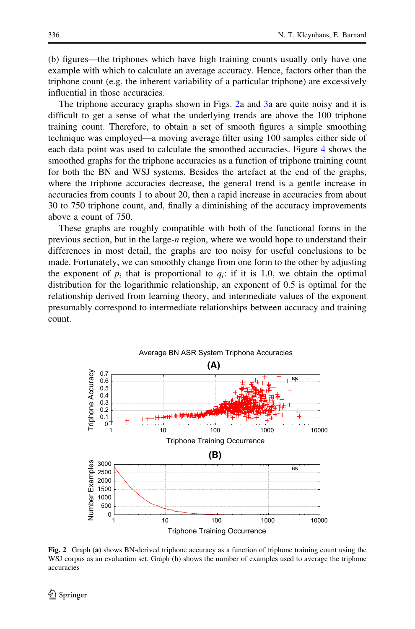<span id="page-9-0"></span>(b) figures—the triphones which have high training counts usually only have one example with which to calculate an average accuracy. Hence, factors other than the triphone count (e.g. the inherent variability of a particular triphone) are excessively influential in those accuracies.

The triphone accuracy graphs shown in Figs. 2a and [3](#page-10-0)a are quite noisy and it is difficult to get a sense of what the underlying trends are above the 100 triphone training count. Therefore, to obtain a set of smooth figures a simple smoothing technique was employed—a moving average filter using 100 samples either side of each data point was used to calculate the smoothed accuracies. Figure [4](#page-10-0) shows the smoothed graphs for the triphone accuracies as a function of triphone training count for both the BN and WSJ systems. Besides the artefact at the end of the graphs, where the triphone accuracies decrease, the general trend is a gentle increase in accuracies from counts 1 to about 20, then a rapid increase in accuracies from about 30 to 750 triphone count, and, finally a diminishing of the accuracy improvements above a count of 750.

These graphs are roughly compatible with both of the functional forms in the previous section, but in the large-n region, where we would hope to understand their differences in most detail, the graphs are too noisy for useful conclusions to be made. Fortunately, we can smoothly change from one form to the other by adjusting the exponent of  $p_i$  that is proportional to  $q_i$ : if it is 1.0, we obtain the optimal distribution for the logarithmic relationship, an exponent of 0.5 is optimal for the relationship derived from learning theory, and intermediate values of the exponent presumably correspond to intermediate relationships between accuracy and training count.



Fig. 2 Graph (a) shows BN-derived triphone accuracy as a function of triphone training count using the WSJ corpus as an evaluation set. Graph (b) shows the number of examples used to average the triphone accuracies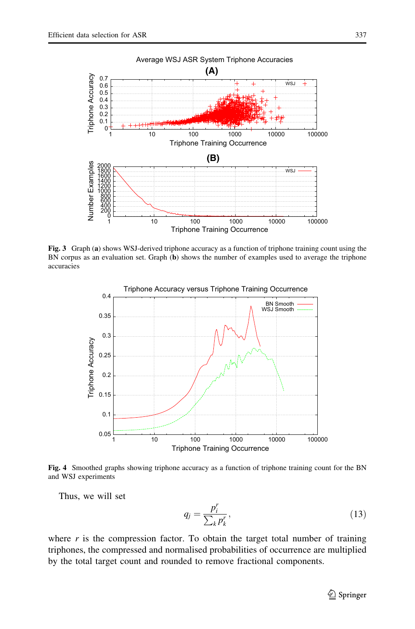<span id="page-10-0"></span>

Fig. 3 Graph (a) shows WSJ-derived triphone accuracy as a function of triphone training count using the BN corpus as an evaluation set. Graph (b) shows the number of examples used to average the triphone accuracies



Fig. 4 Smoothed graphs showing triphone accuracy as a function of triphone training count for the BN and WSJ experiments

Thus, we will set

$$
q_j = \frac{p_i^r}{\sum_k p_k^r},\tag{13}
$$

where  $r$  is the compression factor. To obtain the target total number of training triphones, the compressed and normalised probabilities of occurrence are multiplied by the total target count and rounded to remove fractional components.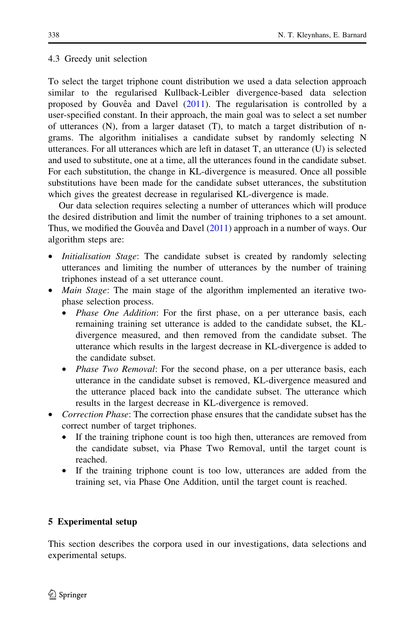## <span id="page-11-0"></span>4.3 Greedy unit selection

To select the target triphone count distribution we used a data selection approach similar to the regularised Kullback-Leibler divergence-based data selection proposed by Gouvêa and Davel  $(2011)$  $(2011)$  $(2011)$ . The regularisation is controlled by a user-specified constant. In their approach, the main goal was to select a set number of utterances (N), from a larger dataset (T), to match a target distribution of ngrams. The algorithm initialises a candidate subset by randomly selecting N utterances. For all utterances which are left in dataset T, an utterance (U) is selected and used to substitute, one at a time, all the utterances found in the candidate subset. For each substitution, the change in KL-divergence is measured. Once all possible substitutions have been made for the candidate subset utterances, the substitution which gives the greatest decrease in regularised KL-divergence is made.

Our data selection requires selecting a number of utterances which will produce the desired distribution and limit the number of training triphones to a set amount. Thus, we modified the Gouvêa and Davel  $(2011)$  $(2011)$  approach in a number of ways. Our algorithm steps are:

- Initialisation Stage: The candidate subset is created by randomly selecting utterances and limiting the number of utterances by the number of training triphones instead of a set utterance count.
- Main Stage: The main stage of the algorithm implemented an iterative twophase selection process.
	- *Phase One Addition*: For the first phase, on a per utterance basis, each remaining training set utterance is added to the candidate subset, the KLdivergence measured, and then removed from the candidate subset. The utterance which results in the largest decrease in KL-divergence is added to the candidate subset.
	- *Phase Two Removal*: For the second phase, on a per utterance basis, each utterance in the candidate subset is removed, KL-divergence measured and the utterance placed back into the candidate subset. The utterance which results in the largest decrease in KL-divergence is removed.
- *Correction Phase*: The correction phase ensures that the candidate subset has the correct number of target triphones.
	- If the training triphone count is too high then, utterances are removed from the candidate subset, via Phase Two Removal, until the target count is reached.
	- If the training triphone count is too low, utterances are added from the training set, via Phase One Addition, until the target count is reached.

## 5 Experimental setup

This section describes the corpora used in our investigations, data selections and experimental setups.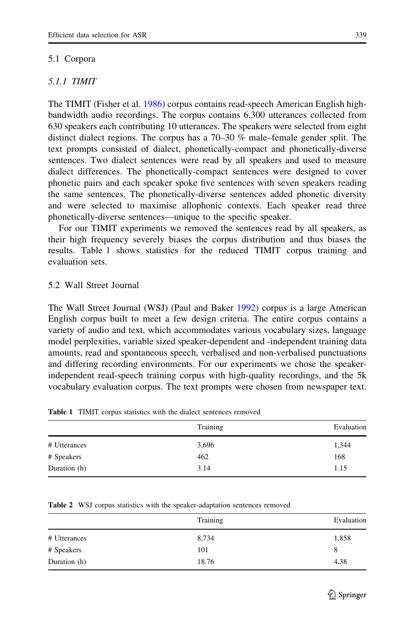# <span id="page-12-0"></span>5.1 Corpora

# 5.1.1 TIMIT

The TIMIT (Fisher et al. [1986\)](#page-25-0) corpus contains read-speech American English highbandwidth audio recordings. The corpus contains 6,300 utterances collected from 630 speakers each contributing 10 utterances. The speakers were selected from eight distinct dialect regions. The corpus has a 70–30 % male–female gender split. The text prompts consisted of dialect, phonetically-compact and phonetically-diverse sentences. Two dialect sentences were read by all speakers and used to measure dialect differences. The phonetically-compact sentences were designed to cover phonetic pairs and each speaker spoke five sentences with seven speakers reading the same sentences. The phonetically-diverse sentences added phonetic diversity and were selected to maximise allophonic contexts. Each speaker read three phonetically-diverse sentences—unique to the specific speaker.

For our TIMIT experiments we removed the sentences read by all speakers, as their high frequency severely biases the corpus distribution and thus biases the results. Table 1 shows statistics for the reduced TIMIT corpus training and evaluation sets.

# 5.2 Wall Street Journal

The Wall Street Journal (WSJ) (Paul and Baker [1992\)](#page-26-0) corpus is a large American English corpus built to meet a few design criteria. The entire corpus contains a variety of audio and text, which accommodates various vocabulary sizes, language model perplexities, variable sized speaker-dependent and -independent training data amounts, read and spontaneous speech, verbalised and non-verbalised punctuations and differing recording environments. For our experiments we chose the speakerindependent read-speech training corpus with high-quality recordings, and the 5k vocabulary evaluation corpus. The text prompts were chosen from newspaper text.

|              | Training | Evaluation |
|--------------|----------|------------|
| # Utterances | 3,696    | 1,344      |
| # Speakers   | 462      | 168        |
| Duration (h) | 3.14     | 1.15       |

Table 1 TIMIT corpus statistics with the dialect sentences removed

|  |  |  |  |  |  |  | Table 2 WSJ corpus statistics with the speaker-adaptation sentences removed |  |  |
|--|--|--|--|--|--|--|-----------------------------------------------------------------------------|--|--|
|--|--|--|--|--|--|--|-----------------------------------------------------------------------------|--|--|

|              | Training | Evaluation |
|--------------|----------|------------|
| # Utterances | 8.734    | 1,858      |
| # Speakers   | 101      | 8          |
| Duration (h) | 18.76    | 4.38       |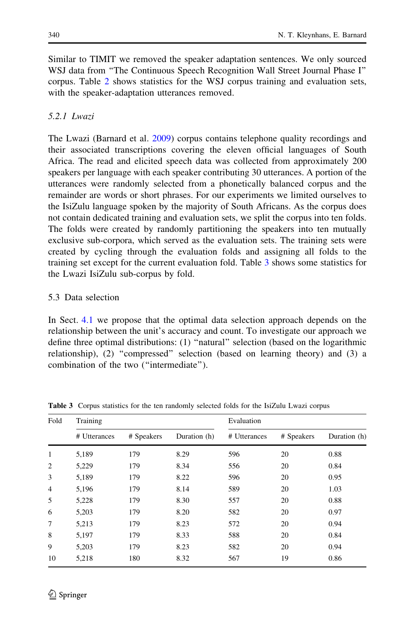Similar to TIMIT we removed the speaker adaptation sentences. We only sourced WSJ data from ''The Continuous Speech Recognition Wall Street Journal Phase I'' corpus. Table [2](#page-12-0) shows statistics for the WSJ corpus training and evaluation sets, with the speaker-adaptation utterances removed.

# 5.2.1 Lwazi

The Lwazi (Barnard et al. [2009](#page-25-0)) corpus contains telephone quality recordings and their associated transcriptions covering the eleven official languages of South Africa. The read and elicited speech data was collected from approximately 200 speakers per language with each speaker contributing 30 utterances. A portion of the utterances were randomly selected from a phonetically balanced corpus and the remainder are words or short phrases. For our experiments we limited ourselves to the IsiZulu language spoken by the majority of South Africans. As the corpus does not contain dedicated training and evaluation sets, we split the corpus into ten folds. The folds were created by randomly partitioning the speakers into ten mutually exclusive sub-corpora, which served as the evaluation sets. The training sets were created by cycling through the evaluation folds and assigning all folds to the training set except for the current evaluation fold. Table 3 shows some statistics for the Lwazi IsiZulu sub-corpus by fold.

# 5.3 Data selection

In Sect. [4.1](#page-6-0) we propose that the optimal data selection approach depends on the relationship between the unit's accuracy and count. To investigate our approach we define three optimal distributions: (1) ''natural'' selection (based on the logarithmic relationship), (2) ''compressed'' selection (based on learning theory) and (3) a combination of the two (''intermediate'').

| Fold           | Training     |            |              | Evaluation   |            |              |  |  |
|----------------|--------------|------------|--------------|--------------|------------|--------------|--|--|
|                | # Utterances | # Speakers | Duration (h) | # Utterances | # Speakers | Duration (h) |  |  |
| 1              | 5,189        | 179        | 8.29         | 596          | 20         | 0.88         |  |  |
| 2              | 5,229        | 179        | 8.34         | 556          | 20         | 0.84         |  |  |
| 3              | 5,189        | 179        | 8.22         | 596          | 20         | 0.95         |  |  |
| $\overline{4}$ | 5,196        | 179        | 8.14         | 589          | 20         | 1.03         |  |  |
| 5              | 5,228        | 179        | 8.30         | 557          | 20         | 0.88         |  |  |
| 6              | 5,203        | 179        | 8.20         | 582          | 20         | 0.97         |  |  |
| $\tau$         | 5,213        | 179        | 8.23         | 572          | 20         | 0.94         |  |  |
| 8              | 5,197        | 179        | 8.33         | 588          | 20         | 0.84         |  |  |
| 9              | 5,203        | 179        | 8.23         | 582          | 20         | 0.94         |  |  |
| 10             | 5,218        | 180        | 8.32         | 567          | 19         | 0.86         |  |  |

Table 3 Corpus statistics for the ten randomly selected folds for the IsiZulu Lwazi corpus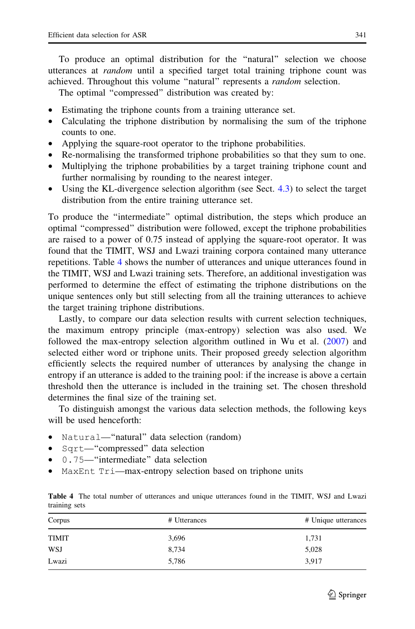To produce an optimal distribution for the ''natural'' selection we choose utterances at random until a specified target total training triphone count was achieved. Throughout this volume "natural" represents a *random* selection.

The optimal "compressed" distribution was created by:

- Estimating the triphone counts from a training utterance set.
- Calculating the triphone distribution by normalising the sum of the triphone counts to one.
- Applying the square-root operator to the triphone probabilities.
- Re-normalising the transformed triphone probabilities so that they sum to one.
- Multiplying the triphone probabilities by a target training triphone count and further normalising by rounding to the nearest integer.
- Using the KL-divergence selection algorithm (see Sect. [4.3\)](#page-11-0) to select the target distribution from the entire training utterance set.

To produce the ''intermediate'' optimal distribution, the steps which produce an optimal ''compressed'' distribution were followed, except the triphone probabilities are raised to a power of 0.75 instead of applying the square-root operator. It was found that the TIMIT, WSJ and Lwazi training corpora contained many utterance repetitions. Table 4 shows the number of utterances and unique utterances found in the TIMIT, WSJ and Lwazi training sets. Therefore, an additional investigation was performed to determine the effect of estimating the triphone distributions on the unique sentences only but still selecting from all the training utterances to achieve the target training triphone distributions.

Lastly, to compare our data selection results with current selection techniques, the maximum entropy principle (max-entropy) selection was also used. We followed the max-entropy selection algorithm outlined in Wu et al. [\(2007\)](#page-26-0) and selected either word or triphone units. Their proposed greedy selection algorithm efficiently selects the required number of utterances by analysing the change in entropy if an utterance is added to the training pool: if the increase is above a certain threshold then the utterance is included in the training set. The chosen threshold determines the final size of the training set.

To distinguish amongst the various data selection methods, the following keys will be used henceforth:

- Natural—''natural'' data selection (random)
- Sqrt—''compressed'' data selection
- 0.75—''intermediate'' data selection
- MaxEnt Tri—max-entropy selection based on triphone units

| Corpus     | # Utterances | # Unique utterances |
|------------|--------------|---------------------|
| TIMIT      | 3,696        | 1,731               |
| <b>WSJ</b> | 8,734        | 5,028               |
| Lwazi      | 5,786        | 3,917               |
|            |              |                     |

Table 4 The total number of utterances and unique utterances found in the TIMIT, WSJ and Lwazi training sets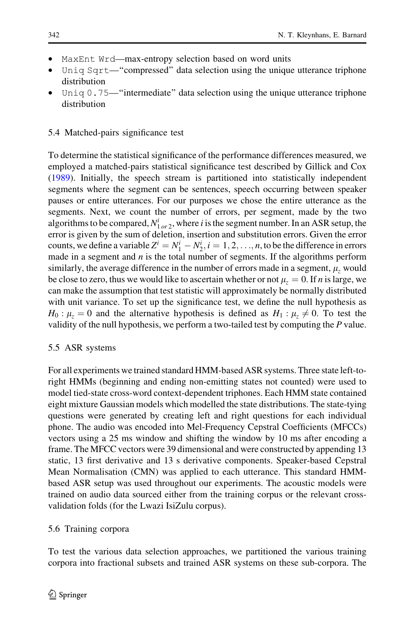- <span id="page-15-0"></span>• MaxEnt Wrd—max-entropy selection based on word units
- Uniq Sqrt—"compressed" data selection using the unique utterance triphone distribution
- Uniq  $0.75$ —"intermediate" data selection using the unique utterance triphone distribution

## 5.4 Matched-pairs significance test

To determine the statistical significance of the performance differences measured, we employed a matched-pairs statistical significance test described by Gillick and Cox [\(1989](#page-25-0)). Initially, the speech stream is partitioned into statistically independent segments where the segment can be sentences, speech occurring between speaker pauses or entire utterances. For our purposes we chose the entire utterance as the segments. Next, we count the number of errors, per segment, made by the two algorithms to be compared,  $N^i_{1 \text{ or } 2}$ , where *i* is the segment number. In an ASR setup, the error is given by the sum of deletion, insertion and substitution errors. Given the error counts, we define a variable  $Z^i = N_1^i - N_2^i$ ,  $i = 1, 2, ..., n$ , to be the difference in errors made in a segment and  $n$  is the total number of segments. If the algorithms perform similarly, the average difference in the number of errors made in a segment,  $\mu$ , would be close to zero, thus we would like to ascertain whether or not  $\mu_z = 0$ . If n is large, we can make the assumption that test statistic will approximately be normally distributed with unit variance. To set up the significance test, we define the null hypothesis as  $H_0$ :  $\mu_z = 0$  and the alternative hypothesis is defined as  $H_1$ :  $\mu_z \neq 0$ . To test the validity of the null hypothesis, we perform a two-tailed test by computing the P value.

## 5.5 ASR systems

For all experiments we trained standard HMM-based ASR systems. Three state left-toright HMMs (beginning and ending non-emitting states not counted) were used to model tied-state cross-word context-dependent triphones. Each HMM state contained eight mixture Gaussian models which modelled the state distributions. The state-tying questions were generated by creating left and right questions for each individual phone. The audio was encoded into Mel-Frequency Cepstral Coefficients (MFCCs) vectors using a 25 ms window and shifting the window by 10 ms after encoding a frame. The MFCC vectors were 39 dimensional and were constructed by appending 13 static, 13 first derivative and 13 s derivative components. Speaker-based Cepstral Mean Normalisation (CMN) was applied to each utterance. This standard HMMbased ASR setup was used throughout our experiments. The acoustic models were trained on audio data sourced either from the training corpus or the relevant crossvalidation folds (for the Lwazi IsiZulu corpus).

## 5.6 Training corpora

To test the various data selection approaches, we partitioned the various training corpora into fractional subsets and trained ASR systems on these sub-corpora. The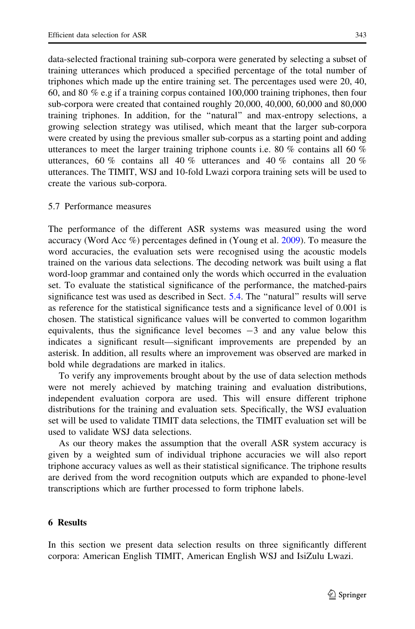<span id="page-16-0"></span>data-selected fractional training sub-corpora were generated by selecting a subset of training utterances which produced a specified percentage of the total number of triphones which made up the entire training set. The percentages used were 20, 40, 60, and 80 % e.g if a training corpus contained 100,000 training triphones, then four sub-corpora were created that contained roughly 20,000, 40,000, 60,000 and 80,000 training triphones. In addition, for the ''natural'' and max-entropy selections, a growing selection strategy was utilised, which meant that the larger sub-corpora were created by using the previous smaller sub-corpus as a starting point and adding utterances to meet the larger training triphone counts i.e. 80 % contains all 60 % utterances, 60 % contains all 40 % utterances and 40 % contains all 20 % utterances. The TIMIT, WSJ and 10-fold Lwazi corpora training sets will be used to create the various sub-corpora.

### 5.7 Performance measures

The performance of the different ASR systems was measured using the word accuracy (Word Acc %) percentages defined in (Young et al. [2009](#page-26-0)). To measure the word accuracies, the evaluation sets were recognised using the acoustic models trained on the various data selections. The decoding network was built using a flat word-loop grammar and contained only the words which occurred in the evaluation set. To evaluate the statistical significance of the performance, the matched-pairs significance test was used as described in Sect. [5.4](#page-15-0). The ''natural'' results will serve as reference for the statistical significance tests and a significance level of 0.001 is chosen. The statistical significance values will be converted to common logarithm equivalents, thus the significance level becomes  $-3$  and any value below this indicates a significant result—significant improvements are prepended by an asterisk. In addition, all results where an improvement was observed are marked in bold while degradations are marked in italics.

To verify any improvements brought about by the use of data selection methods were not merely achieved by matching training and evaluation distributions, independent evaluation corpora are used. This will ensure different triphone distributions for the training and evaluation sets. Specifically, the WSJ evaluation set will be used to validate TIMIT data selections, the TIMIT evaluation set will be used to validate WSJ data selections.

As our theory makes the assumption that the overall ASR system accuracy is given by a weighted sum of individual triphone accuracies we will also report triphone accuracy values as well as their statistical significance. The triphone results are derived from the word recognition outputs which are expanded to phone-level transcriptions which are further processed to form triphone labels.

#### 6 Results

In this section we present data selection results on three significantly different corpora: American English TIMIT, American English WSJ and IsiZulu Lwazi.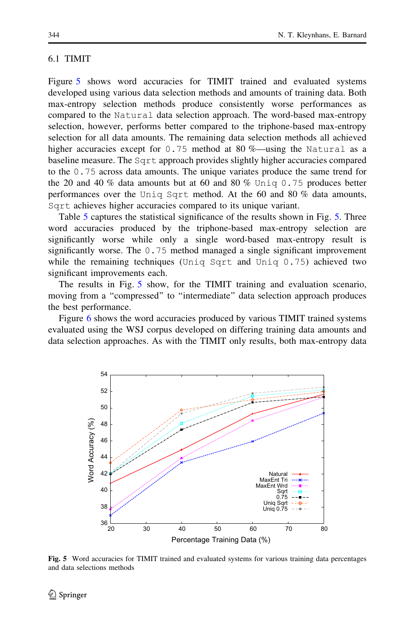#### <span id="page-17-0"></span>6.1 TIMIT

Figure 5 shows word accuracies for TIMIT trained and evaluated systems developed using various data selection methods and amounts of training data. Both max-entropy selection methods produce consistently worse performances as compared to the Natural data selection approach. The word-based max-entropy selection, however, performs better compared to the triphone-based max-entropy selection for all data amounts. The remaining data selection methods all achieved higher accuracies except for 0.75 method at 80 %—using the Natural as a baseline measure. The Sqrt approach provides slightly higher accuracies compared to the 0.75 across data amounts. The unique variates produce the same trend for the 20 and 40 % data amounts but at 60 and 80 % Uniq 0.75 produces better performances over the Uniq Sqrt method. At the 60 and 80 % data amounts, Sqrt achieves higher accuracies compared to its unique variant.

Table [5](#page-18-0) captures the statistical significance of the results shown in Fig. 5. Three word accuracies produced by the triphone-based max-entropy selection are significantly worse while only a single word-based max-entropy result is significantly worse. The 0.75 method managed a single significant improvement while the remaining techniques (Uniq Sqrt and Uniq 0.75) achieved two significant improvements each.

The results in Fig. 5 show, for the TIMIT training and evaluation scenario, moving from a ''compressed'' to ''intermediate'' data selection approach produces the best performance.

Figure [6](#page-19-0) shows the word accuracies produced by various TIMIT trained systems evaluated using the WSJ corpus developed on differing training data amounts and data selection approaches. As with the TIMIT only results, both max-entropy data



Fig. 5 Word accuracies for TIMIT trained and evaluated systems for various training data percentages and data selections methods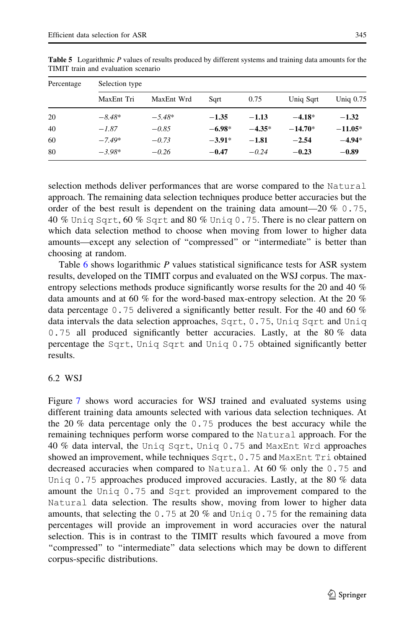| Percentage | Selection type |            |          |          |           |             |  |  |  |
|------------|----------------|------------|----------|----------|-----------|-------------|--|--|--|
|            | MaxEnt Tri     | MaxEnt Wrd | Sqrt     | 0.75     | Uniq Sqrt | Uniq $0.75$ |  |  |  |
| 20         | $-8.48*$       | $-5.48*$   | $-1.35$  | $-1.13$  | $-4.18*$  | $-1.32$     |  |  |  |
| 40         | $-1.87$        | $-0.85$    | $-6.98*$ | $-4.35*$ | $-14.70*$ | $-11.05*$   |  |  |  |
| 60         | $-7.49*$       | $-0.73$    | $-3.91*$ | $-1.81$  | $-2.54$   | $-4.94*$    |  |  |  |
| 80         | $-3.98*$       | $-0.26$    | $-0.47$  | $-0.24$  | $-0.23$   | $-0.89$     |  |  |  |

<span id="page-18-0"></span>Table 5 Logarithmic P values of results produced by different systems and training data amounts for the TIMIT train and evaluation scenario

selection methods deliver performances that are worse compared to the Natural approach. The remaining data selection techniques produce better accuracies but the order of the best result is dependent on the training data amount—20  $\%$  0.75, 40 % Uniq Sqrt, 60 % Sqrt and 80 % Uniq 0.75. There is no clear pattern on which data selection method to choose when moving from lower to higher data amounts—except any selection of ''compressed'' or ''intermediate'' is better than choosing at random.

Table [6](#page-19-0) shows logarithmic P values statistical significance tests for ASR system results, developed on the TIMIT corpus and evaluated on the WSJ corpus. The maxentropy selections methods produce significantly worse results for the 20 and 40 % data amounts and at 60 % for the word-based max-entropy selection. At the 20 % data percentage 0.75 delivered a significantly better result. For the 40 and 60 % data intervals the data selection approaches, Sqrt, 0.75, Uniq Sqrt and Uniq 0.75 all produced significantly better accuracies. Lastly, at the 80 % data percentage the Sqrt, Uniq Sqrt and Uniq 0.75 obtained significantly better results.

### 6.2 WSJ

Figure [7](#page-20-0) shows word accuracies for WSJ trained and evaluated systems using different training data amounts selected with various data selection techniques. At the 20 % data percentage only the 0.75 produces the best accuracy while the remaining techniques perform worse compared to the Natural approach. For the 40 % data interval, the Uniq Sqrt, Uniq  $0.75$  and MaxEnt Wrd approaches showed an improvement, while techniques Sqrt, 0.75 and MaxEnt Tri obtained decreased accuracies when compared to Natural. At 60 % only the 0.75 and Uniq 0.75 approaches produced improved accuracies. Lastly, at the 80 % data amount the Uniq 0.75 and Sqrt provided an improvement compared to the Natural data selection. The results show, moving from lower to higher data amounts, that selecting the  $0.75$  at 20 % and Uniq 0.75 for the remaining data percentages will provide an improvement in word accuracies over the natural selection. This is in contrast to the TIMIT results which favoured a move from ''compressed'' to ''intermediate'' data selections which may be down to different corpus-specific distributions.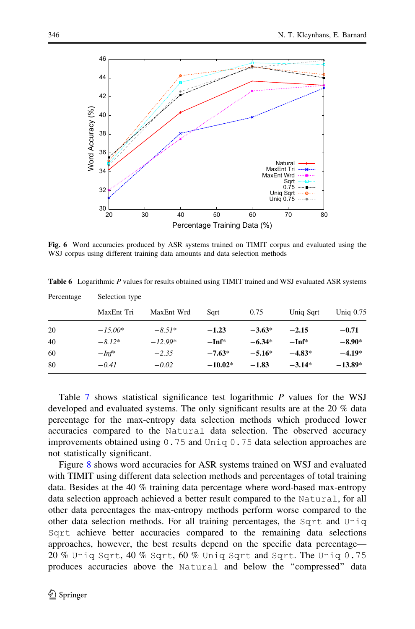<span id="page-19-0"></span>

Fig. 6 Word accuracies produced by ASR systems trained on TIMIT corpus and evaluated using the WSJ corpus using different training data amounts and data selection methods

| Percentage | Selection type |            |           |          |           |             |  |  |  |
|------------|----------------|------------|-----------|----------|-----------|-------------|--|--|--|
|            | MaxEnt Tri     | MaxEnt Wrd | Sqrt      | 0.75     | Unig Sqrt | Uniq $0.75$ |  |  |  |
| 20         | $-15.00*$      | $-8.51*$   | $-1.23$   | $-3.63*$ | $-2.15$   | $-0.71$     |  |  |  |
| 40         | $-8.12*$       | $-12.99*$  | $-I$ nf*  | $-6.34*$ | —Inf*     | $-8.90*$    |  |  |  |
| 60         | $-Inf^*$       | $-2.35$    | $-7.63*$  | $-5.16*$ | $-4.83*$  | $-4.19*$    |  |  |  |
| 80         | $-0.41$        | $-0.02$    | $-10.02*$ | $-1.83$  | $-3.14*$  | $-13.89*$   |  |  |  |

Table 6 Logarithmic P values for results obtained using TIMIT trained and WSJ evaluated ASR systems

Table [7](#page-20-0) shows statistical significance test logarithmic P values for the WSJ developed and evaluated systems. The only significant results are at the 20 % data percentage for the max-entropy data selection methods which produced lower accuracies compared to the Natural data selection. The observed accuracy improvements obtained using  $0.75$  and Uniq 0.75 data selection approaches are not statistically significant.

Figure [8](#page-21-0) shows word accuracies for ASR systems trained on WSJ and evaluated with TIMIT using different data selection methods and percentages of total training data. Besides at the 40 % training data percentage where word-based max-entropy data selection approach achieved a better result compared to the Natural, for all other data percentages the max-entropy methods perform worse compared to the other data selection methods. For all training percentages, the Sqrt and Uniq Sqrt achieve better accuracies compared to the remaining data selections approaches, however, the best results depend on the specific data percentage— 20 % Uniq Sqrt, 40 % Sqrt, 60 % Uniq Sqrt and Sqrt. The Uniq  $0.75$ produces accuracies above the Natural and below the ''compressed'' data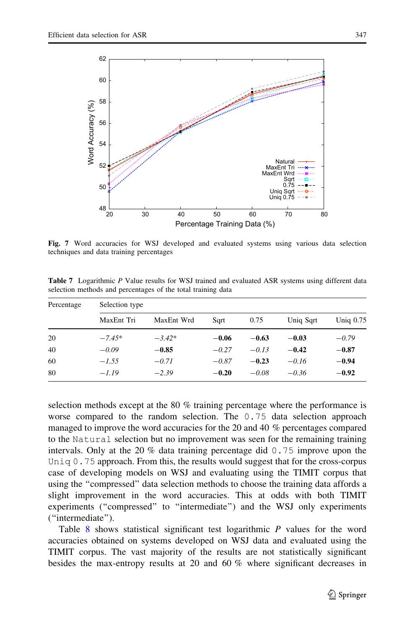<span id="page-20-0"></span>

Fig. 7 Word accuracies for WSJ developed and evaluated systems using various data selection techniques and data training percentages

Table 7 Logarithmic P Value results for WSJ trained and evaluated ASR systems using different data selection methods and percentages of the total training data

| Percentage | Selection type |            |         |         |           |           |  |  |  |
|------------|----------------|------------|---------|---------|-----------|-----------|--|--|--|
|            | MaxEnt Tri     | MaxEnt Wrd | Sqrt    | 0.75    | Unig Sqrt | Uniq 0.75 |  |  |  |
| 20         | $-7.45*$       | $-3.42*$   | $-0.06$ | $-0.63$ | $-0.03$   | $-0.79$   |  |  |  |
| 40         | $-0.09$        | $-0.85$    | $-0.27$ | $-0.13$ | $-0.42$   | $-0.87$   |  |  |  |
| 60         | $-1.55$        | $-0.71$    | $-0.87$ | $-0.23$ | $-0.16$   | $-0.94$   |  |  |  |
| 80         | $-1.19$        | $-2.39$    | $-0.20$ | $-0.08$ | $-0.36$   | $-0.92$   |  |  |  |

selection methods except at the 80 % training percentage where the performance is worse compared to the random selection. The 0.75 data selection approach managed to improve the word accuracies for the 20 and 40 % percentages compared to the Natural selection but no improvement was seen for the remaining training intervals. Only at the 20 % data training percentage did  $0.75$  improve upon the Uniq  $0.75$  approach. From this, the results would suggest that for the cross-corpus case of developing models on WSJ and evaluating using the TIMIT corpus that using the ''compressed'' data selection methods to choose the training data affords a slight improvement in the word accuracies. This at odds with both TIMIT experiments (''compressed'' to ''intermediate'') and the WSJ only experiments (''intermediate'').

Table [8](#page-21-0) shows statistical significant test logarithmic  $P$  values for the word accuracies obtained on systems developed on WSJ data and evaluated using the TIMIT corpus. The vast majority of the results are not statistically significant besides the max-entropy results at 20 and 60 % where significant decreases in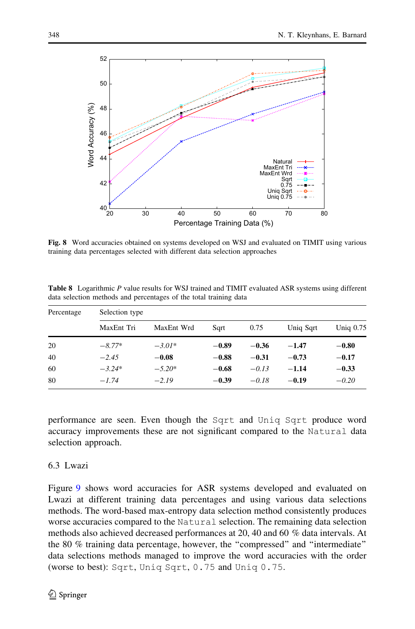<span id="page-21-0"></span>

Fig. 8 Word accuracies obtained on systems developed on WSJ and evaluated on TIMIT using various training data percentages selected with different data selection approaches

| Percentage | Selection type |            |         |         |           |             |  |  |  |
|------------|----------------|------------|---------|---------|-----------|-------------|--|--|--|
|            | MaxEnt Tri     | MaxEnt Wrd | Sqrt    | 0.75    | Unig Sqrt | Uniq $0.75$ |  |  |  |
| 20         | $-8.77*$       | $-3.01*$   | $-0.89$ | $-0.36$ | $-1.47$   | $-0.80$     |  |  |  |
| 40         | $-2.45$        | $-0.08$    | $-0.88$ | $-0.31$ | $-0.73$   | $-0.17$     |  |  |  |
| 60         | $-3.24*$       | $-5.20*$   | $-0.68$ | $-0.13$ | $-1.14$   | $-0.33$     |  |  |  |
| 80         | $-1.74$        | $-2.19$    | $-0.39$ | $-0.18$ | $-0.19$   | $-0.20$     |  |  |  |

Table 8 Logarithmic P value results for WSJ trained and TIMIT evaluated ASR systems using different data selection methods and percentages of the total training data

performance are seen. Even though the Sqrt and Uniq Sqrt produce word accuracy improvements these are not significant compared to the Natural data selection approach.

## 6.3 Lwazi

Figure [9](#page-22-0) shows word accuracies for ASR systems developed and evaluated on Lwazi at different training data percentages and using various data selections methods. The word-based max-entropy data selection method consistently produces worse accuracies compared to the Natural selection. The remaining data selection methods also achieved decreased performances at 20, 40 and 60 % data intervals. At the 80 % training data percentage, however, the ''compressed'' and ''intermediate'' data selections methods managed to improve the word accuracies with the order (worse to best): Sqrt, Uniq Sqrt, 0.75 and Uniq 0.75.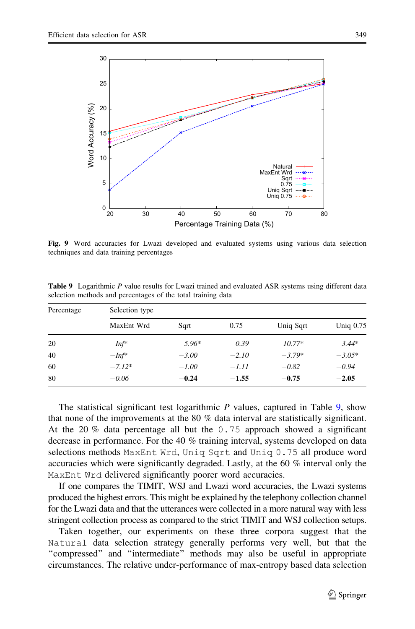<span id="page-22-0"></span>

Fig. 9 Word accuracies for Lwazi developed and evaluated systems using various data selection techniques and data training percentages

|  | <b>Table 9</b> Logarithmic P value results for Lwazi trained and evaluated ASR systems using different data |  |  |  |  |
|--|-------------------------------------------------------------------------------------------------------------|--|--|--|--|
|  | selection methods and percentages of the total training data                                                |  |  |  |  |

| Percentage | Selection type |          |         |           |             |  |  |  |
|------------|----------------|----------|---------|-----------|-------------|--|--|--|
|            | MaxEnt Wrd     | Sqrt     | 0.75    | Uniq Sqrt | Uniq $0.75$ |  |  |  |
| 20         | $-Inf^*$       | $-5.96*$ | $-0.39$ | $-10.77*$ | $-3.44*$    |  |  |  |
| 40         | $-Inf^*$       | $-3.00$  | $-2.10$ | $-3.79*$  | $-3.05*$    |  |  |  |
| 60         | $-7.12*$       | $-1.00$  | $-1.11$ | $-0.82$   | $-0.94$     |  |  |  |
| 80         | $-0.06$        | $-0.24$  | $-1.55$ | $-0.75$   | $-2.05$     |  |  |  |

The statistical significant test logarithmic  $P$  values, captured in Table  $9$ , show that none of the improvements at the 80 % data interval are statistically significant. At the 20 % data percentage all but the 0.75 approach showed a significant decrease in performance. For the 40 % training interval, systems developed on data selections methods MaxEnt Wrd, Uniq Sqrt and Uniq 0.75 all produce word accuracies which were significantly degraded. Lastly, at the 60 % interval only the MaxEnt Wrd delivered significantly poorer word accuracies.

If one compares the TIMIT, WSJ and Lwazi word accuracies, the Lwazi systems produced the highest errors. This might be explained by the telephony collection channel for the Lwazi data and that the utterances were collected in a more natural way with less stringent collection process as compared to the strict TIMIT and WSJ collection setups.

Taken together, our experiments on these three corpora suggest that the Natural data selection strategy generally performs very well, but that the ''compressed'' and ''intermediate'' methods may also be useful in appropriate circumstances. The relative under-performance of max-entropy based data selection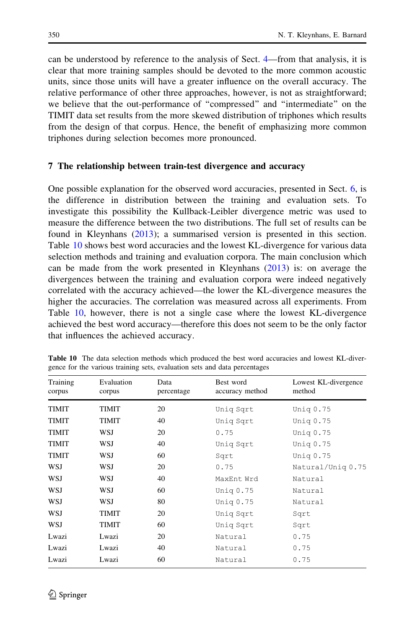<span id="page-23-0"></span>can be understood by reference to the analysis of Sect. [4—](#page-4-0)from that analysis, it is clear that more training samples should be devoted to the more common acoustic units, since those units will have a greater influence on the overall accuracy. The relative performance of other three approaches, however, is not as straightforward; we believe that the out-performance of ''compressed'' and ''intermediate'' on the TIMIT data set results from the more skewed distribution of triphones which results from the design of that corpus. Hence, the benefit of emphasizing more common triphones during selection becomes more pronounced.

## 7 The relationship between train-test divergence and accuracy

One possible explanation for the observed word accuracies, presented in Sect. [6](#page-16-0), is the difference in distribution between the training and evaluation sets. To investigate this possibility the Kullback-Leibler divergence metric was used to measure the difference between the two distributions. The full set of results can be found in Kleynhans ([2013\)](#page-25-0); a summarised version is presented in this section. Table 10 shows best word accuracies and the lowest KL-divergence for various data selection methods and training and evaluation corpora. The main conclusion which can be made from the work presented in Kleynhans [\(2013](#page-25-0)) is: on average the divergences between the training and evaluation corpora were indeed negatively correlated with the accuracy achieved—the lower the KL-divergence measures the higher the accuracies. The correlation was measured across all experiments. From Table 10, however, there is not a single case where the lowest KL-divergence achieved the best word accuracy—therefore this does not seem to be the only factor that influences the achieved accuracy.

| Training<br>corpus | Evaluation<br>corpus | Data<br>percentage | Best word<br>accuracy method | Lowest KL-divergence<br>method |
|--------------------|----------------------|--------------------|------------------------------|--------------------------------|
| <b>TIMIT</b>       | <b>TIMIT</b>         | 20                 | Uniq Sqrt                    | Uniq $0.75$                    |
| <b>TIMIT</b>       | <b>TIMIT</b>         | 40                 | Uniq Sqrt                    | Uniq $0.75$                    |
| <b>TIMIT</b>       | WSJ                  | 20                 | 0.75                         | Uniq $0.75$                    |
| <b>TIMIT</b>       | WSJ                  | 40                 | Uniq Sqrt                    | Uniq $0.75$                    |
| <b>TIMIT</b>       | WSJ                  | 60                 | Sqrt                         | Uniq $0.75$                    |
| WSJ                | WSJ                  | 20                 | 0.75                         | Natural/Uniq 0.75              |
| WSJ                | WSJ                  | 40                 | MaxEnt Wrd                   | Natural                        |
| WSJ                | WSJ                  | 60                 | Uniq $0.75$                  | Natural                        |
| WSJ                | WSJ                  | 80                 | Unig $0.75$                  | Natural                        |
| WSJ                | <b>TIMIT</b>         | 20                 | Uniq Sqrt                    | Sqrt                           |
| WSJ                | <b>TIMIT</b>         | 60                 | Uniq Sqrt                    | Sqrt                           |
| Lwazi              | Lwazi                | 20                 | Natural                      | 0.75                           |
| Lwazi              | Lwazi                | 40                 | Natural                      | 0.75                           |
| Lwazi              | Lwazi                | 60                 | Natural                      | 0.75                           |

Table 10 The data selection methods which produced the best word accuracies and lowest KL-divergence for the various training sets, evaluation sets and data percentages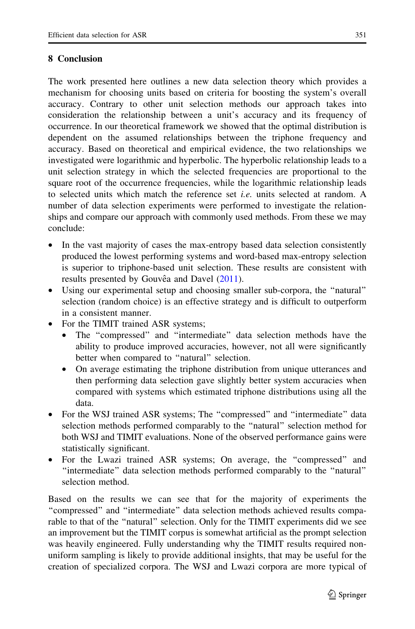# 8 Conclusion

The work presented here outlines a new data selection theory which provides a mechanism for choosing units based on criteria for boosting the system's overall accuracy. Contrary to other unit selection methods our approach takes into consideration the relationship between a unit's accuracy and its frequency of occurrence. In our theoretical framework we showed that the optimal distribution is dependent on the assumed relationships between the triphone frequency and accuracy. Based on theoretical and empirical evidence, the two relationships we investigated were logarithmic and hyperbolic. The hyperbolic relationship leads to a unit selection strategy in which the selected frequencies are proportional to the square root of the occurrence frequencies, while the logarithmic relationship leads to selected units which match the reference set *i.e.* units selected at random. A number of data selection experiments were performed to investigate the relationships and compare our approach with commonly used methods. From these we may conclude:

- In the vast majority of cases the max-entropy based data selection consistently produced the lowest performing systems and word-based max-entropy selection is superior to triphone-based unit selection. These results are consistent with results presented by Gouvêa and Davel ([2011\)](#page-25-0).
- Using our experimental setup and choosing smaller sub-corpora, the ''natural'' selection (random choice) is an effective strategy and is difficult to outperform in a consistent manner.
- For the TIMIT trained ASR systems;
	- The "compressed" and "intermediate" data selection methods have the ability to produce improved accuracies, however, not all were significantly better when compared to ''natural'' selection.
	- On average estimating the triphone distribution from unique utterances and then performing data selection gave slightly better system accuracies when compared with systems which estimated triphone distributions using all the data.
- For the WSJ trained ASR systems; The "compressed" and "intermediate" data selection methods performed comparably to the ''natural'' selection method for both WSJ and TIMIT evaluations. None of the observed performance gains were statistically significant.
- For the Lwazi trained ASR systems; On average, the ''compressed'' and ''intermediate'' data selection methods performed comparably to the ''natural'' selection method.

Based on the results we can see that for the majority of experiments the ''compressed'' and ''intermediate'' data selection methods achieved results comparable to that of the ''natural'' selection. Only for the TIMIT experiments did we see an improvement but the TIMIT corpus is somewhat artificial as the prompt selection was heavily engineered. Fully understanding why the TIMIT results required nonuniform sampling is likely to provide additional insights, that may be useful for the creation of specialized corpora. The WSJ and Lwazi corpora are more typical of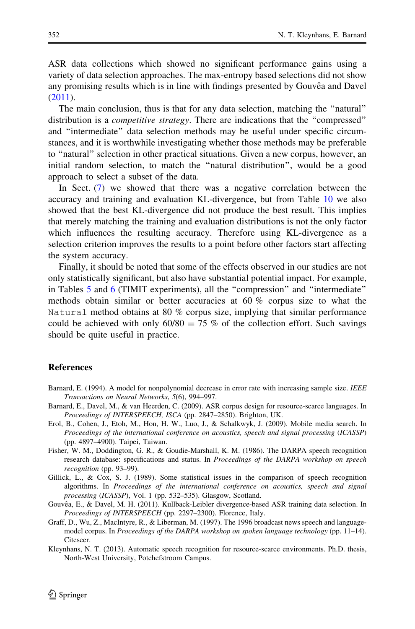<span id="page-25-0"></span>ASR data collections which showed no significant performance gains using a variety of data selection approaches. The max-entropy based selections did not show any promising results which is in line with findings presented by Gouvêa and Davel (2011).

The main conclusion, thus is that for any data selection, matching the ''natural'' distribution is a competitive strategy. There are indications that the ''compressed'' and ''intermediate'' data selection methods may be useful under specific circumstances, and it is worthwhile investigating whether those methods may be preferable to ''natural'' selection in other practical situations. Given a new corpus, however, an initial random selection, to match the ''natural distribution'', would be a good approach to select a subset of the data.

In Sect. ([7\)](#page-23-0) we showed that there was a negative correlation between the accuracy and training and evaluation KL-divergence, but from Table [10](#page-23-0) we also showed that the best KL-divergence did not produce the best result. This implies that merely matching the training and evaluation distributions is not the only factor which influences the resulting accuracy. Therefore using KL-divergence as a selection criterion improves the results to a point before other factors start affecting the system accuracy.

Finally, it should be noted that some of the effects observed in our studies are not only statistically significant, but also have substantial potential impact. For example, in Tables [5](#page-17-0) and [6](#page-19-0) (TIMIT experiments), all the ''compression'' and ''intermediate'' methods obtain similar or better accuracies at 60 % corpus size to what the Natural method obtains at 80 % corpus size, implying that similar performance could be achieved with only  $60/80 = 75\%$  of the collection effort. Such savings should be quite useful in practice.

### **References**

- Barnard, E. (1994). A model for nonpolynomial decrease in error rate with increasing sample size. IEEE Transactions on Neural Networks, 5(6), 994–997.
- Barnard, E., Davel, M., & van Heerden, C. (2009). ASR corpus design for resource-scarce languages. In Proceedings of INTERSPEECH, ISCA (pp. 2847–2850). Brighton, UK.
- Erol, B., Cohen, J., Etoh, M., Hon, H. W., Luo, J., & Schalkwyk, J. (2009). Mobile media search. In Proceedings of the international conference on acoustics, speech and signal processing (ICASSP) (pp. 4897–4900). Taipei, Taiwan.
- Fisher, W. M., Doddington, G. R., & Goudie-Marshall, K. M. (1986). The DARPA speech recognition research database: specifications and status. In Proceedings of the DARPA workshop on speech recognition (pp. 93–99).
- Gillick, L., & Cox, S. J. (1989). Some statistical issues in the comparison of speech recognition algorithms. In Proceedings of the international conference on acoustics, speech and signal processing (ICASSP), Vol. 1 (pp. 532–535). Glasgow, Scotland.
- Gouvêa, E., & Davel, M. H. (2011). Kullback-Leibler divergence-based ASR training data selection. In Proceedings of INTERSPEECH (pp. 2297–2300). Florence, Italy.
- Graff, D., Wu, Z., MacIntyre, R., & Liberman, M. (1997). The 1996 broadcast news speech and languagemodel corpus. In Proceedings of the DARPA workshop on spoken language technology (pp. 11–14). Citeseer.
- Kleynhans, N. T. (2013). Automatic speech recognition for resource-scarce environments. Ph.D. thesis, North-West University, Potchefstroom Campus.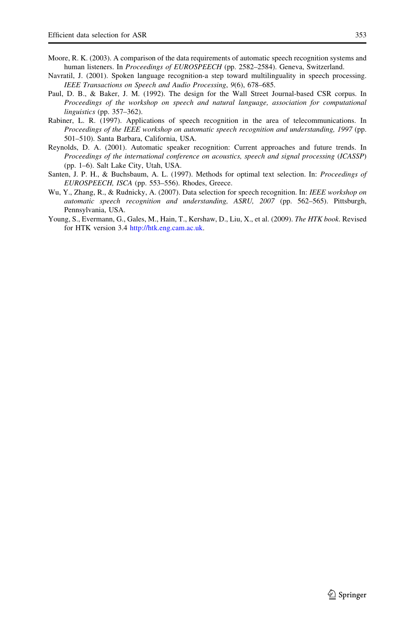- <span id="page-26-0"></span>Moore, R. K. (2003). A comparison of the data requirements of automatic speech recognition systems and human listeners. In Proceedings of EUROSPEECH (pp. 2582–2584). Geneva, Switzerland.
- Navratil, J. (2001). Spoken language recognition-a step toward multilinguality in speech processing. IEEE Transactions on Speech and Audio Processing, 9(6), 678–685.
- Paul, D. B., & Baker, J. M. (1992). The design for the Wall Street Journal-based CSR corpus. In Proceedings of the workshop on speech and natural language, association for computational linguistics (pp. 357–362).
- Rabiner, L. R. (1997). Applications of speech recognition in the area of telecommunications. In Proceedings of the IEEE workshop on automatic speech recognition and understanding, 1997 (pp. 501–510). Santa Barbara, California, USA.
- Reynolds, D. A. (2001). Automatic speaker recognition: Current approaches and future trends. In Proceedings of the international conference on acoustics, speech and signal processing (ICASSP) (pp. 1–6). Salt Lake City, Utah, USA.
- Santen, J. P. H., & Buchsbaum, A. L. (1997). Methods for optimal text selection. In: Proceedings of EUROSPEECH, ISCA (pp. 553–556). Rhodes, Greece.
- Wu, Y., Zhang, R., & Rudnicky, A. (2007). Data selection for speech recognition. In: IEEE workshop on automatic speech recognition and understanding, ASRU, 2007 (pp. 562–565). Pittsburgh, Pennsylvania, USA.
- Young, S., Evermann, G., Gales, M., Hain, T., Kershaw, D., Liu, X., et al. (2009). The HTK book. Revised for HTK version 3.4 [http://htk.eng.cam.ac.uk.](http://htk.eng.cam.ac.uk)